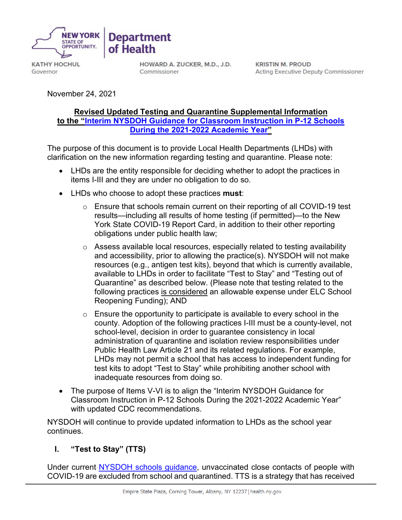

**KATHY HOCHUL** Governor

HOWARD A. ZUCKER, M.D., J.D. Commissioner

**KRISTIN M. PROUD Acting Executive Deputy Commissioner** 

November 24, 2021

#### **Revised Updated Testing and Quarantine Supplemental Information to the ["Interim NYSDOH Guidance for Classroom Instruction in P-12 Schools](https://coronavirus.health.ny.gov/system/files/documents/2021/09/school-guidance_0.pdf)  [During the 2021-2022 Academic Year"](https://coronavirus.health.ny.gov/system/files/documents/2021/09/school-guidance_0.pdf)**

The purpose of this document is to provide Local Health Departments (LHDs) with clarification on the new information regarding testing and quarantine. Please note:

- LHDs are the entity responsible for deciding whether to adopt the practices in items I-III and they are under no obligation to do so.
- LHDs who choose to adopt these practices **must**:

**Department** 

of Health

- $\circ$  Ensure that schools remain current on their reporting of all COVID-19 test results—including all results of home testing (if permitted)—to the New York State COVID-19 Report Card, in addition to their other reporting obligations under public health law;
- $\circ$  Assess available local resources, especially related to testing availability and accessibility, prior to allowing the practice(s). NYSDOH will not make resources (e.g., antigen test kits), beyond that which is currently available, available to LHDs in order to facilitate "Test to Stay" and "Testing out of Quarantine" as described below. (Please note that testing related to the following practices is considered an allowable expense under ELC School Reopening Funding); AND
- $\circ$  Ensure the opportunity to participate is available to every school in the county. Adoption of the following practices I-III must be a county-level, not school-level, decision in order to guarantee consistency in local administration of quarantine and isolation review responsibilities under Public Health Law Article 21 and its related regulations. For example, LHDs may not permit a school that has access to independent funding for test kits to adopt "Test to Stay" while prohibiting another school with inadequate resources from doing so.
- The purpose of Items V-VI is to align the "Interim NYSDOH Guidance for Classroom Instruction in P-12 Schools During the 2021-2022 Academic Year" with updated CDC recommendations.

NYSDOH will continue to provide updated information to LHDs as the school year continues.

# **I. "Test to Stay" (TTS)**

Under current [NYSDOH schools guidance,](https://coronavirus.health.ny.gov/system/files/documents/2021/09/school-guidance_0.pdf) unvaccinated close contacts of people with COVID-19 are excluded from school and quarantined. TTS is a strategy that has received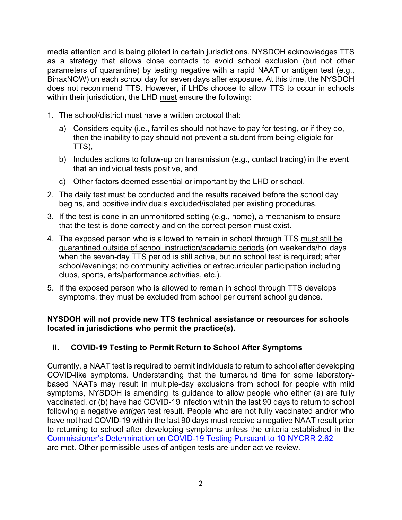media attention and is being piloted in certain jurisdictions. NYSDOH acknowledges TTS as a strategy that allows close contacts to avoid school exclusion (but not other parameters of quarantine) by testing negative with a rapid NAAT or antigen test (e.g., BinaxNOW) on each school day for seven days after exposure. At this time, the NYSDOH does not recommend TTS. However, if LHDs choose to allow TTS to occur in schools within their jurisdiction, the LHD must ensure the following:

- 1. The school/district must have a written protocol that:
	- a) Considers equity (i.e., families should not have to pay for testing, or if they do, then the inability to pay should not prevent a student from being eligible for TTS),
	- b) Includes actions to follow-up on transmission (e.g., contact tracing) in the event that an individual tests positive, and
	- c) Other factors deemed essential or important by the LHD or school.
- 2. The daily test must be conducted and the results received before the school day begins, and positive individuals excluded/isolated per existing procedures.
- 3. If the test is done in an unmonitored setting (e.g., home), a mechanism to ensure that the test is done correctly and on the correct person must exist.
- 4. The exposed person who is allowed to remain in school through TTS must still be quarantined outside of school instruction/academic periods (on weekends/holidays when the seven-day TTS period is still active, but no school test is required; after school/evenings; no community activities or extracurricular participation including clubs, sports, arts/performance activities, etc.).
- 5. If the exposed person who is allowed to remain in school through TTS develops symptoms, they must be excluded from school per current school guidance.

#### **NYSDOH will not provide new TTS technical assistance or resources for schools located in jurisdictions who permit the practice(s).**

# **II. COVID-19 Testing to Permit Return to School After Symptoms**

Currently, a NAAT test is required to permit individuals to return to school after developing COVID-like symptoms. Understanding that the turnaround time for some laboratorybased NAATs may result in multiple-day exclusions from school for people with mild symptoms, NYSDOH is amending its guidance to allow people who either (a) are fully vaccinated, or (b) have had COVID-19 infection within the last 90 days to return to school following a negative *antigen* test result. People who are not fully vaccinated and/or who have not had COVID-19 within the last 90 days must receive a negative NAAT result prior to returning to school after developing symptoms unless the criteria established in the [Commissioner's Determination on COVID-19 Testing Pursuant to 10 NYCRR 2.62](https://coronavirus.health.ny.gov/system/files/documents/2021/09/2.62-determination.pdf) are met. Other permissible uses of antigen tests are under active review.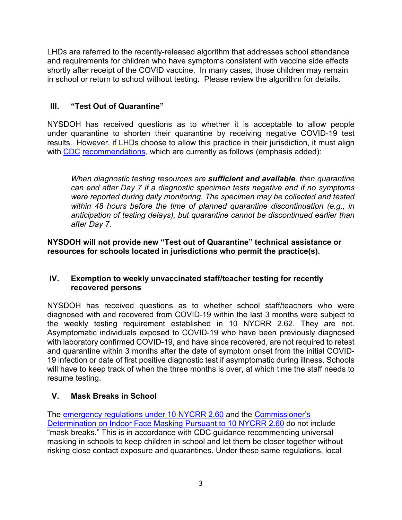LHDs are referred to the recently-released algorithm that addresses school attendance and requirements for children who have symptoms consistent with vaccine side effects shortly after receipt of the COVID vaccine. In many cases, those children may remain in school or return to school without testing. Please review the algorithm for details.

# **III. "Test Out of Quarantine"**

NYSDOH has received questions as to whether it is acceptable to allow people under quarantine to shorten their quarantine by receiving negative COVID-19 test results. However, if LHDs choose to allow this practice in their jurisdiction, it must [align](https://www.cdc.gov/coronavirus/2019-ncov/science/science-briefs/scientific-brief-options-to-reduce-quarantine.html)  with CDC recommendations, which are currently as follows (emphasis added):

*When diagnostic testing resources are sufficient and available, then quarantine can end after Day 7 if a diagnostic specimen tests negative and if no symptoms were reported during daily monitoring. The specimen may be collected and tested within 48 hours before the time of planned quarantine discontinuation (e.g., in anticipation of testing delays), but quarantine cannot be discontinued earlier than after Day 7.*

**NYSDOH will not provide new "Test out of Quarantine" technical assistance or resources for schools located in jurisdictions who permit the practice(s).** 

#### **IV. Exemption to weekly unvaccinated staff/teacher testing for recently recovered persons**

NYSDOH has received questions as to whether school staff/teachers who were diagnosed with and recovered from COVID-19 within the last 3 months were subject to the weekly testing requirement established in 10 NYCRR 2.62. They are not. Asymptomatic individuals exposed to COVID-19 who have been previously diagnosed with laboratory confirmed COVID-19, and have since recovered, are not required to retest and quarantine within 3 months after the date of symptom onset from the initial COVID-19 infection or date of first positive diagnostic test if asymptomatic during illness. Schools will have to keep track of when the three months is over, at which time the staff needs to resume testing.

# **V. Mask Breaks in School**

The [emergency regulations under](https://gcc02.safelinks.protection.outlook.com/?url=https%3A%2F%2Fregs.health.ny.gov%2Fsites%2Fdefault%2Ffiles%2Fpdf%2Femergency_regulations%2FFace%2520Coverings%2520for%2520COVID%252019%2520Prevention.pdf&data=04%7C01%7CDanielle.Greene%40health.ny.gov%7Cb1ac471ff01042afcd9c08d9adc13d10%7Cf46cb8ea79004d108ceb80e8c1c81ee7%7C0%7C0%7C637731867721480369%7CUnknown%7CTWFpbGZsb3d8eyJWIjoiMC4wLjAwMDAiLCJQIjoiV2luMzIiLCJBTiI6Ik1haWwiLCJXVCI6Mn0%3D%7C3000&sdata=xJ2syNwJxA2JWv%2BT4NNI5taKN4qS%2FqAKACkhEnZq2ko%3D&reserved=0) 10 NYCRR 2.60 and the Commissioner's [Determination on Indoor Face Masking Pursuant to 10 NYCRR 2.60](https://gcc02.safelinks.protection.outlook.com/?url=https%3A%2F%2Fcoronavirus.health.ny.gov%2Fsystem%2Ffiles%2Fdocuments%2F2021%2F08%2F2.60-determination.pdf&data=04%7C01%7CDanielle.Greene%40health.ny.gov%7Cb1ac471ff01042afcd9c08d9adc13d10%7Cf46cb8ea79004d108ceb80e8c1c81ee7%7C0%7C0%7C637731867721490326%7CUnknown%7CTWFpbGZsb3d8eyJWIjoiMC4wLjAwMDAiLCJQIjoiV2luMzIiLCJBTiI6Ik1haWwiLCJXVCI6Mn0%3D%7C3000&sdata=rVnCoJ%2FOe2jn8vPXuna2MPdXMzjOZmyrvzJcEV3yjsU%3D&reserved=0) do not include "mask breaks." This is in accordance with CDC guidance recommending universal masking in schools to keep children in school and let them be closer together without risking close contact exposure and quarantines. Under these same regulations, local